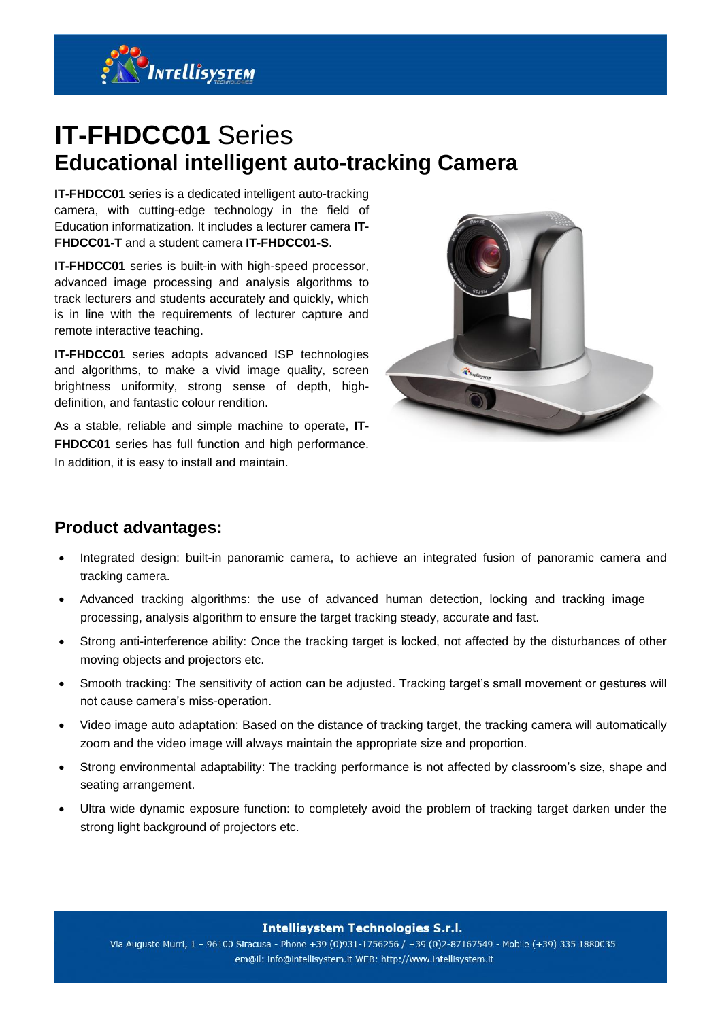

# **IT-FHDCC01** Series **Educational intelligent auto-tracking Camera**

**IT-FHDCC01** series is a dedicated intelligent auto-tracking camera, with cutting-edge technology in the field of Education informatization. It includes a lecturer camera **IT-FHDCC01-T** and a student camera **IT-FHDCC01-S**.

**IT-FHDCC01** series is built-in with high-speed processor, advanced image processing and analysis algorithms to track lecturers and students accurately and quickly, which is in line with the requirements of lecturer capture and remote interactive teaching.

**IT-FHDCC01** series adopts advanced ISP technologies and algorithms, to make a vivid image quality, screen brightness uniformity, strong sense of depth, highdefinition, and fantastic colour rendition.

As a stable, reliable and simple machine to operate, **IT-FHDCC01** series has full function and high performance. In addition, it is easy to install and maintain.



#### **Product advantages:**

- Integrated design: built-in panoramic camera, to achieve an integrated fusion of panoramic camera and tracking camera.
- Advanced tracking algorithms: the use of advanced human detection, locking and tracking image processing, analysis algorithm to ensure the target tracking steady, accurate and fast.
- Strong anti-interference ability: Once the tracking target is locked, not affected by the disturbances of other moving objects and projectors etc.
- Smooth tracking: The sensitivity of action can be adjusted. Tracking target's small movement or gestures will not cause camera's miss-operation.
- Video image auto adaptation: Based on the distance of tracking target, the tracking camera will automatically zoom and the video image will always maintain the appropriate size and proportion.
- Strong environmental adaptability: The tracking performance is not affected by classroom's size, shape and seating arrangement.
- Ultra wide dynamic exposure function: to completely avoid the problem of tracking target darken under the strong light background of projectors etc.

**Intellisystem Technologies S.r.l.** 

Via Augusto Murri, 1 - 96100 Siracusa - Phone +39 (0)931-1756256 / +39 (0)2-87167549 - Mobile (+39) 335 1880035 em@il: info@intellisystem.it WEB: http://www.intellisystem.it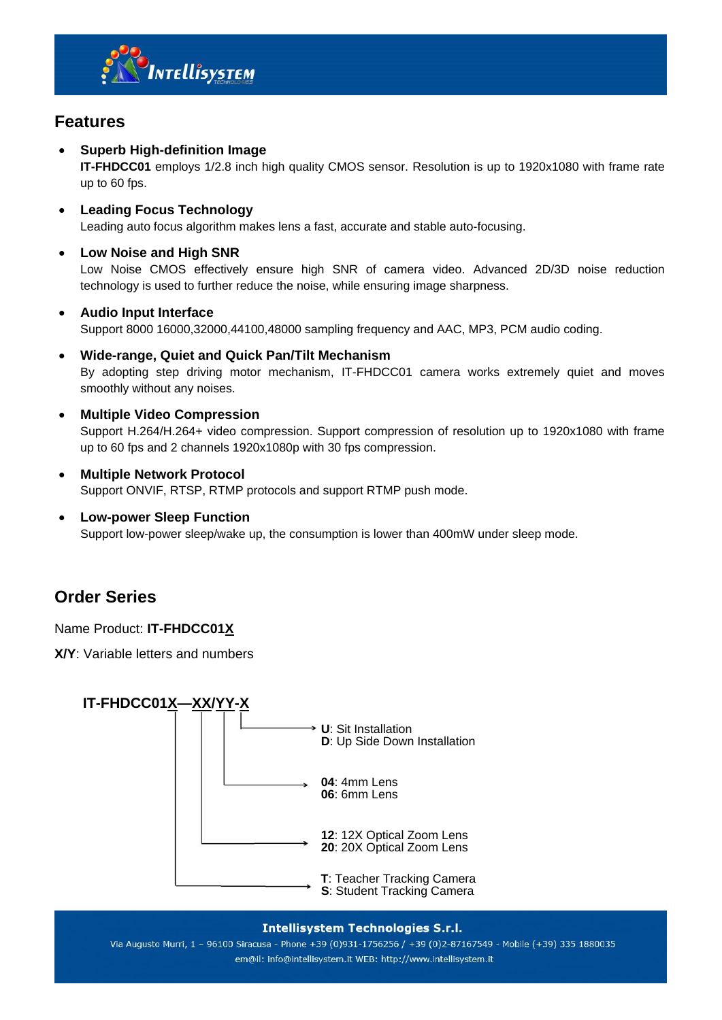

#### **Features**

**Superb High-definition Image**

**IT-FHDCC01** employs 1/2.8 inch high quality CMOS sensor. Resolution is up to 1920x1080 with frame rate up to 60 fps.

- **Leading Focus Technology** Leading auto focus algorithm makes lens a fast, accurate and stable auto-focusing.
- **Low Noise and High SNR**

Low Noise CMOS effectively ensure high SNR of camera video. Advanced 2D/3D noise reduction technology is used to further reduce the noise, while ensuring image sharpness.

**Audio Input Interface**

Support 8000 16000,32000,44100,48000 sampling frequency and AAC, MP3, PCM audio coding.

- **Wide-range, Quiet and Quick Pan/Tilt Mechanism** By adopting step driving motor mechanism, IT-FHDCC01 camera works extremely quiet and moves smoothly without any noises.
- **Multiple Video Compression**

Support H.264/H.264+ video compression. Support compression of resolution up to 1920x1080 with frame up to 60 fps and 2 channels 1920x1080p with 30 fps compression.

- **Multiple Network Protocol** Support ONVIF, RTSP, RTMP protocols and support RTMP push mode.
- **Low-power Sleep Function** Support low-power sleep/wake up, the consumption is lower than 400mW under sleep mode.

#### **Order Series**

Name Product: **IT-FHDCC01X**

**X/Y**: Variable letters and numbers



#### **Intellisystem Technologies S.r.l.**

Via Augusto Murri, 1 - 96100 Siracusa - Phone +39 (0)931-1756256 / +39 (0)2-87167549 - Mobile (+39) 335 1880035 em@il: info@intellisystem.it WEB: http://www.intellisystem.it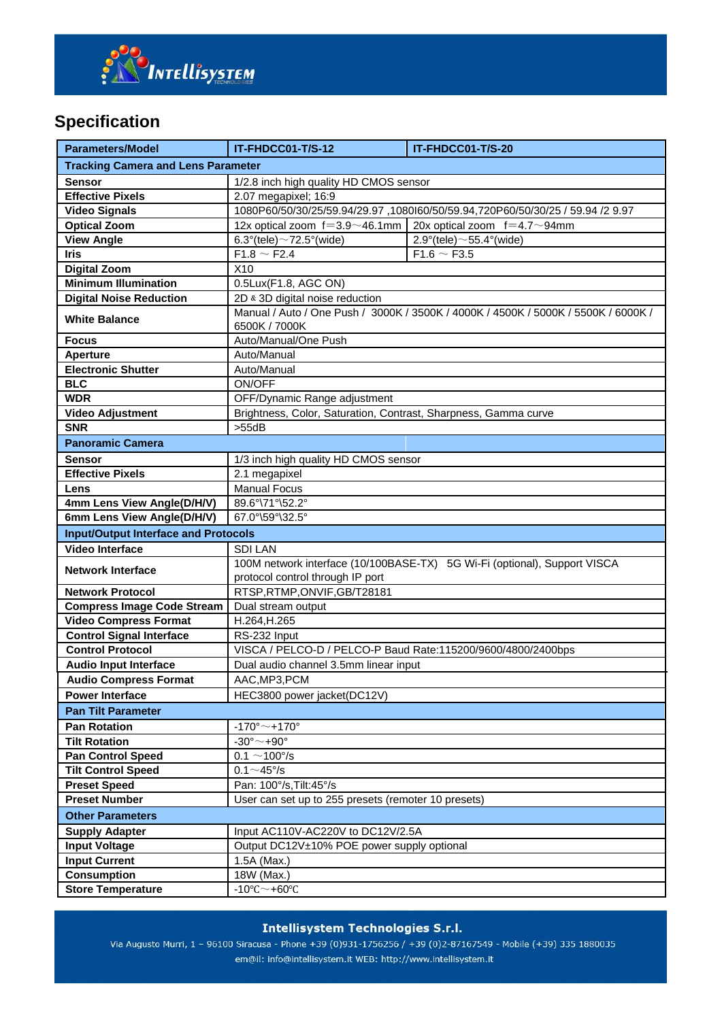

## **Specification**

| <b>Parameters/Model</b>                       | IT-FHDCC01-T/S-12                                                                                             | IT-FHDCC01-T/S-20                                   |  |
|-----------------------------------------------|---------------------------------------------------------------------------------------------------------------|-----------------------------------------------------|--|
| <b>Tracking Camera and Lens Parameter</b>     |                                                                                                               |                                                     |  |
| <b>Sensor</b>                                 | 1/2.8 inch high quality HD CMOS sensor                                                                        |                                                     |  |
| <b>Effective Pixels</b>                       | 2.07 megapixel; 16:9                                                                                          |                                                     |  |
| <b>Video Signals</b>                          | 1080P60/50/30/25/59.94/29.97,1080l60/50/59.94,720P60/50/30/25 / 59.94 /2 9.97                                 |                                                     |  |
| <b>Optical Zoom</b>                           | 12x optical zoom $f=3.9 \sim 46.1$ mm                                                                         | 20x optical zoom $f=4.7 \sim 94$ mm                 |  |
| <b>View Angle</b>                             | 6.3°(tele) $\sim$ 72.5°(wide)                                                                                 | $2.9^{\circ}$ (tele) ~55.4° (wide)                  |  |
| <b>Iris</b>                                   | $F1.8 \sim F2.4$                                                                                              | $F1.6 \sim F3.5$                                    |  |
| <b>Digital Zoom</b>                           | X <sub>10</sub>                                                                                               |                                                     |  |
| <b>Minimum Illumination</b>                   | 0.5Lux(F1.8, AGC ON)                                                                                          |                                                     |  |
| <b>Digital Noise Reduction</b>                | 2D & 3D digital noise reduction                                                                               |                                                     |  |
| <b>White Balance</b>                          | Manual / Auto / One Push / 3000K / 3500K / 4000K / 4500K / 5000K / 5500K / 6000K /<br>6500K / 7000K           |                                                     |  |
| <b>Focus</b>                                  | Auto/Manual/One Push                                                                                          |                                                     |  |
| <b>Aperture</b>                               | Auto/Manual                                                                                                   |                                                     |  |
| <b>Electronic Shutter</b>                     | Auto/Manual                                                                                                   |                                                     |  |
| <b>BLC</b>                                    | ON/OFF                                                                                                        |                                                     |  |
| <b>WDR</b>                                    | OFF/Dynamic Range adjustment                                                                                  |                                                     |  |
| <b>Video Adjustment</b>                       | Brightness, Color, Saturation, Contrast, Sharpness, Gamma curve                                               |                                                     |  |
| <b>SNR</b>                                    | $>55$ dB                                                                                                      |                                                     |  |
| <b>Panoramic Camera</b>                       |                                                                                                               |                                                     |  |
|                                               |                                                                                                               |                                                     |  |
| <b>Sensor</b>                                 | 1/3 inch high quality HD CMOS sensor                                                                          |                                                     |  |
| <b>Effective Pixels</b>                       | 2.1 megapixel                                                                                                 |                                                     |  |
| Lens                                          | <b>Manual Focus</b>                                                                                           |                                                     |  |
| 4mm Lens View Angle(D/H/V)                    | 89.6°\71°\52.2°                                                                                               |                                                     |  |
| 6mm Lens View Angle(D/H/V)<br>67.0°\59°\32.5° |                                                                                                               |                                                     |  |
| <b>Input/Output Interface and Protocols</b>   |                                                                                                               |                                                     |  |
| <b>Video Interface</b>                        | <b>SDILAN</b>                                                                                                 |                                                     |  |
| <b>Network Interface</b>                      | 100M network interface (10/100BASE-TX) 5G Wi-Fi (optional), Support VISCA<br>protocol control through IP port |                                                     |  |
| <b>Network Protocol</b>                       | RTSP, RTMP, ONVIF, GB/T28181                                                                                  |                                                     |  |
| <b>Compress Image Code Stream</b>             | Dual stream output                                                                                            |                                                     |  |
| <b>Video Compress Format</b>                  | H.264, H.265                                                                                                  |                                                     |  |
| <b>Control Signal Interface</b>               | RS-232 Input                                                                                                  |                                                     |  |
| <b>Control Protocol</b>                       | VISCA / PELCO-D / PELCO-P Baud Rate:115200/9600/4800/2400bps                                                  |                                                     |  |
| <b>Audio Input Interface</b>                  | Dual audio channel 3.5mm linear input                                                                         |                                                     |  |
| <b>Audio Compress Format</b>                  | AAC, MP3, PCM                                                                                                 |                                                     |  |
| <b>Power Interface</b>                        | HEC3800 power jacket(DC12V)                                                                                   |                                                     |  |
| <b>Pan Tilt Parameter</b>                     |                                                                                                               |                                                     |  |
| <b>Pan Rotation</b>                           | $-170^{\circ}$ ~ +170°                                                                                        |                                                     |  |
| <b>Tilt Rotation</b>                          | $-30^{\circ}$ $\sim$ $+90^{\circ}$                                                                            |                                                     |  |
| <b>Pan Control Speed</b>                      | $0.1 \sim 100^{\circ}/s$                                                                                      |                                                     |  |
| <b>Tilt Control Speed</b>                     | $0.1 \sim 45^{\circ}/s$                                                                                       |                                                     |  |
| <b>Preset Speed</b>                           | Pan: 100°/s, Tilt: 45°/s                                                                                      |                                                     |  |
| <b>Preset Number</b>                          |                                                                                                               | User can set up to 255 presets (remoter 10 presets) |  |
| <b>Other Parameters</b>                       |                                                                                                               |                                                     |  |
| <b>Supply Adapter</b>                         | Input AC110V-AC220V to DC12V/2.5A                                                                             |                                                     |  |
| <b>Input Voltage</b>                          | Output DC12V±10% POE power supply optional                                                                    |                                                     |  |
| <b>Input Current</b>                          | 1.5A (Max.)                                                                                                   |                                                     |  |
| <b>Consumption</b>                            | 18W (Max.)                                                                                                    |                                                     |  |
| <b>Store Temperature</b>                      | $-10^{\circ}$ C $\sim$ +60 $^{\circ}$ C                                                                       |                                                     |  |

**Intellisystem Technologies S.r.l.** 

Via Augusto Murri, 1 - 96100 Siracusa - Phone +39 (0)931-1756256 / +39 (0)2-87167549 - Mobile (+39) 335 1880035 em@il: info@intellisystem.it WEB: http://www.intellisystem.it